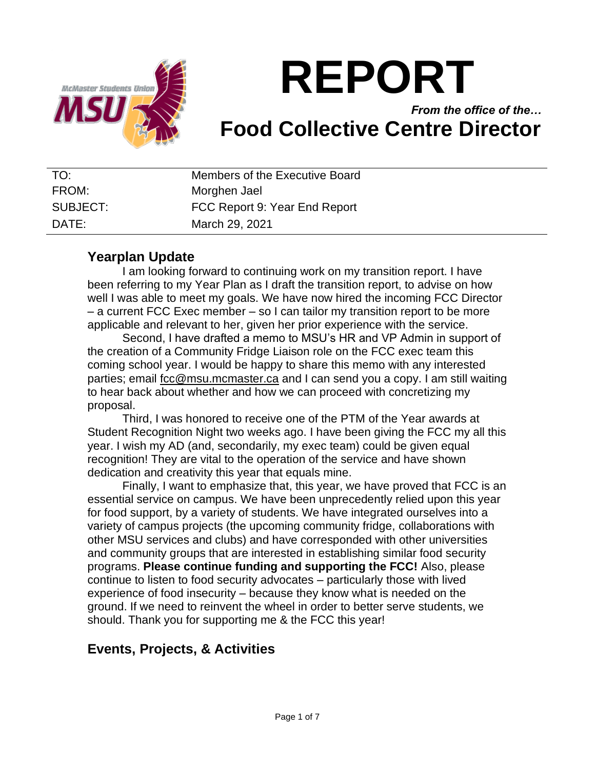

# **REPORT**

# *From the office of the…* **Food Collective Centre Director**

| TO:      | Members of the Executive Board |
|----------|--------------------------------|
| FROM:    | Morghen Jael                   |
| SUBJECT: | FCC Report 9: Year End Report  |
| DATF:    | March 29, 2021                 |

## **Yearplan Update**

I am looking forward to continuing work on my transition report. I have been referring to my Year Plan as I draft the transition report, to advise on how well I was able to meet my goals. We have now hired the incoming FCC Director – a current FCC Exec member – so I can tailor my transition report to be more applicable and relevant to her, given her prior experience with the service.

Second, I have drafted a memo to MSU's HR and VP Admin in support of the creation of a Community Fridge Liaison role on the FCC exec team this coming school year. I would be happy to share this memo with any interested parties; email [fcc@msu.mcmaster.ca](mailto:fcc@msu.mcmaster.ca) and I can send you a copy. I am still waiting to hear back about whether and how we can proceed with concretizing my proposal.

Third, I was honored to receive one of the PTM of the Year awards at Student Recognition Night two weeks ago. I have been giving the FCC my all this year. I wish my AD (and, secondarily, my exec team) could be given equal recognition! They are vital to the operation of the service and have shown dedication and creativity this year that equals mine.

Finally, I want to emphasize that, this year, we have proved that FCC is an essential service on campus. We have been unprecedently relied upon this year for food support, by a variety of students. We have integrated ourselves into a variety of campus projects (the upcoming community fridge, collaborations with other MSU services and clubs) and have corresponded with other universities and community groups that are interested in establishing similar food security programs. **Please continue funding and supporting the FCC!** Also, please continue to listen to food security advocates – particularly those with lived experience of food insecurity – because they know what is needed on the ground. If we need to reinvent the wheel in order to better serve students, we should. Thank you for supporting me & the FCC this year!

# **Events, Projects, & Activities**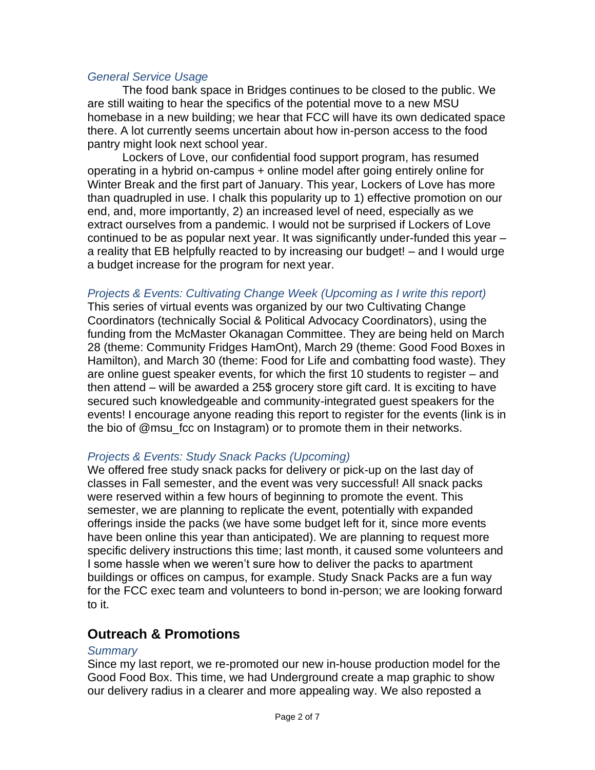#### *General Service Usage*

The food bank space in Bridges continues to be closed to the public. We are still waiting to hear the specifics of the potential move to a new MSU homebase in a new building; we hear that FCC will have its own dedicated space there. A lot currently seems uncertain about how in-person access to the food pantry might look next school year.

Lockers of Love, our confidential food support program, has resumed operating in a hybrid on-campus + online model after going entirely online for Winter Break and the first part of January. This year, Lockers of Love has more than quadrupled in use. I chalk this popularity up to 1) effective promotion on our end, and, more importantly, 2) an increased level of need, especially as we extract ourselves from a pandemic. I would not be surprised if Lockers of Love continued to be as popular next year. It was significantly under-funded this year – a reality that EB helpfully reacted to by increasing our budget! – and I would urge a budget increase for the program for next year.

#### *Projects & Events: Cultivating Change Week (Upcoming as I write this report)*

This series of virtual events was organized by our two Cultivating Change Coordinators (technically Social & Political Advocacy Coordinators), using the funding from the McMaster Okanagan Committee. They are being held on March 28 (theme: Community Fridges HamOnt), March 29 (theme: Good Food Boxes in Hamilton), and March 30 (theme: Food for Life and combatting food waste). They are online guest speaker events, for which the first 10 students to register – and then attend – will be awarded a 25\$ grocery store gift card. It is exciting to have secured such knowledgeable and community-integrated guest speakers for the events! I encourage anyone reading this report to register for the events (link is in the bio of @msu\_fcc on Instagram) or to promote them in their networks.

#### *Projects & Events: Study Snack Packs (Upcoming)*

We offered free study snack packs for delivery or pick-up on the last day of classes in Fall semester, and the event was very successful! All snack packs were reserved within a few hours of beginning to promote the event. This semester, we are planning to replicate the event, potentially with expanded offerings inside the packs (we have some budget left for it, since more events have been online this year than anticipated). We are planning to request more specific delivery instructions this time; last month, it caused some volunteers and I some hassle when we weren't sure how to deliver the packs to apartment buildings or offices on campus, for example. Study Snack Packs are a fun way for the FCC exec team and volunteers to bond in-person; we are looking forward to it.

## **Outreach & Promotions**

#### *Summary*

Since my last report, we re-promoted our new in-house production model for the Good Food Box. This time, we had Underground create a map graphic to show our delivery radius in a clearer and more appealing way. We also reposted a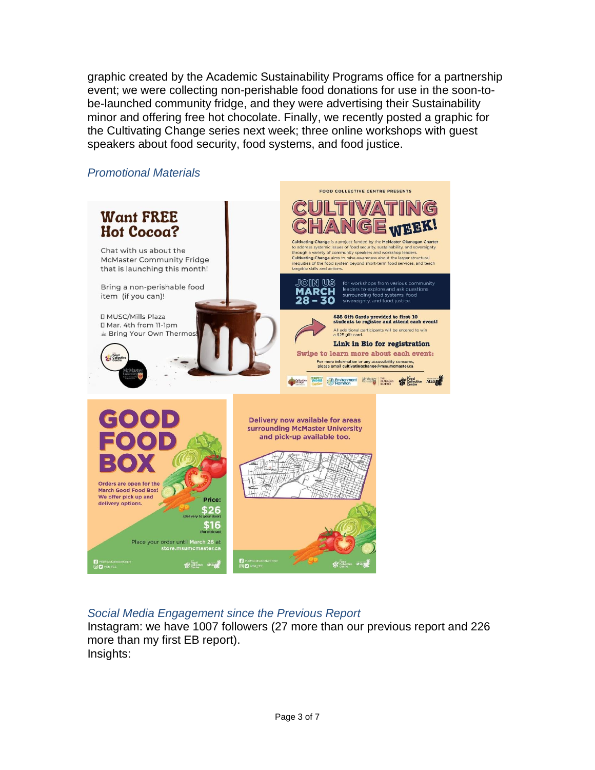graphic created by the Academic Sustainability Programs office for a partnership event; we were collecting non-perishable food donations for use in the soon-tobe-launched community fridge, and they were advertising their Sustainability minor and offering free hot chocolate. Finally, we recently posted a graphic for the Cultivating Change series next week; three online workshops with guest speakers about food security, food systems, and food justice.



### *Social Media Engagement since the Previous Report*

Instagram: we have 1007 followers (27 more than our previous report and 226 more than my first EB report). Insights: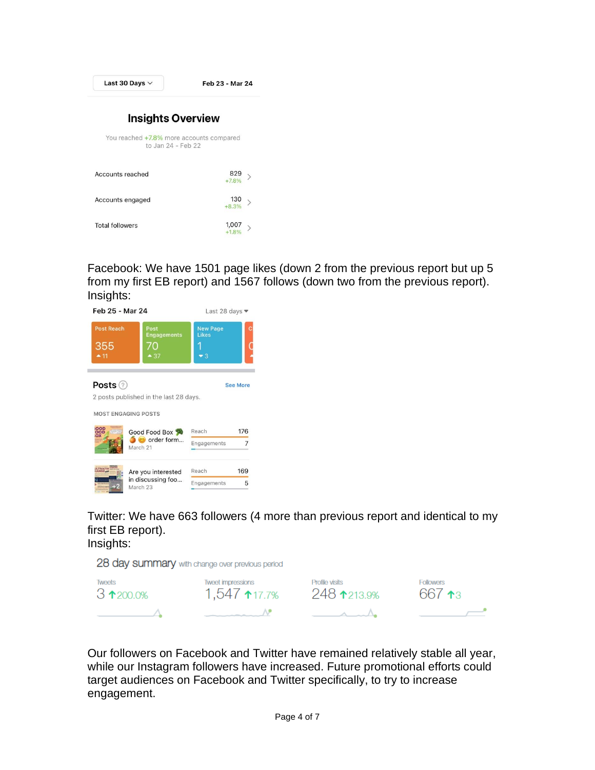| Last 30 Days $\vee$                                            | Feb 23 - Mar 24                 |  |  |
|----------------------------------------------------------------|---------------------------------|--|--|
| <b>Insights Overview</b>                                       |                                 |  |  |
| You reached +7.8% more accounts compared<br>to Jan 24 - Feb 22 |                                 |  |  |
| Accounts reached                                               | 829<br>$\mathcal{P}$<br>$+7.8%$ |  |  |
| Accounts engaged                                               | 130<br>$+8.3%$                  |  |  |
| <b>Total followers</b>                                         | 1,007<br>$+1.8%$                |  |  |

Facebook: We have 1501 page likes (down 2 from the previous report but up 5 from my first EB report) and 1567 follows (down two from the previous report). Insights:

| Feb 25 - Mar 24                           |                                                     | Last 28 days ▼                          |                 |
|-------------------------------------------|-----------------------------------------------------|-----------------------------------------|-----------------|
| <b>Post Reach</b><br>355<br>$-11$         | Post<br><b>Engagements</b><br>70<br>$-37$           | <b>New Page</b><br>Likes<br>$\bullet$ 3 |                 |
| Posts $(2)$<br><b>MOST ENGAGING POSTS</b> | 2 posts published in the last 28 days.              |                                         | <b>See More</b> |
| OOD<br>OOD<br>OX                          | Good Food Box<br>$\omega$ order form<br>March 21    | Reach<br>Engagements                    | 176<br>7        |
| <b>LYIVATIN</b>                           | Are you interested<br>in discussing foo<br>March 23 | Reach<br>Engagements                    | 169<br>5        |

Twitter: We have 663 followers (4 more than previous report and identical to my first EB report).

Insights:

|  |  | 28 day summary with change over previous period |
|--|--|-------------------------------------------------|
|--|--|-------------------------------------------------|

| Tweets             | Tweet impressions               | Profile visits    | <b>Followers</b> |
|--------------------|---------------------------------|-------------------|------------------|
| $3 \times 200.0\%$ | 1.547 $*17.7\%$                 | 248 1213.9%       | 667 $\star$ 3    |
|                    | the contract of the contract of | $\wedge$ $\cdots$ |                  |

Our followers on Facebook and Twitter have remained relatively stable all year, while our Instagram followers have increased. Future promotional efforts could target audiences on Facebook and Twitter specifically, to try to increase engagement.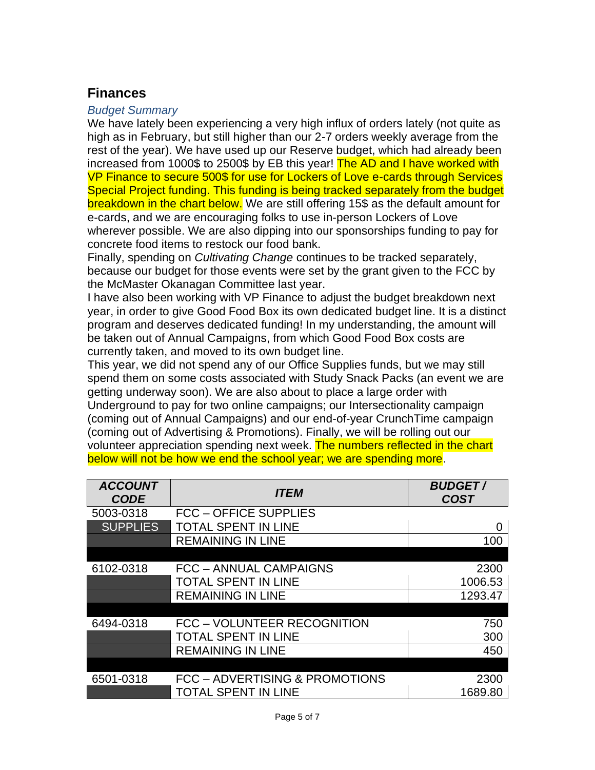# **Finances**

#### *Budget Summary*

We have lately been experiencing a very high influx of orders lately (not quite as high as in February, but still higher than our 2-7 orders weekly average from the rest of the year). We have used up our Reserve budget, which had already been increased from 1000\$ to 2500\$ by EB this year! The AD and I have worked with VP Finance to secure 500\$ for use for Lockers of Love e-cards through Services Special Project funding. This funding is being tracked separately from the budget breakdown in the chart below. We are still offering 15\$ as the default amount for e-cards, and we are encouraging folks to use in-person Lockers of Love wherever possible. We are also dipping into our sponsorships funding to pay for concrete food items to restock our food bank.

Finally, spending on *Cultivating Change* continues to be tracked separately, because our budget for those events were set by the grant given to the FCC by the McMaster Okanagan Committee last year.

I have also been working with VP Finance to adjust the budget breakdown next year, in order to give Good Food Box its own dedicated budget line. It is a distinct program and deserves dedicated funding! In my understanding, the amount will be taken out of Annual Campaigns, from which Good Food Box costs are currently taken, and moved to its own budget line.

This year, we did not spend any of our Office Supplies funds, but we may still spend them on some costs associated with Study Snack Packs (an event we are getting underway soon). We are also about to place a large order with Underground to pay for two online campaigns; our Intersectionality campaign (coming out of Annual Campaigns) and our end-of-year CrunchTime campaign (coming out of Advertising & Promotions). Finally, we will be rolling out our volunteer appreciation spending next week. The numbers reflected in the chart below will not be how we end the school year; we are spending more.

| <b>ACCOUNT</b><br><b>CODE</b> | <i><b>ITEM</b></i>             | <b>BUDGET/</b><br><b>COST</b> |
|-------------------------------|--------------------------------|-------------------------------|
| 5003-0318                     | <b>FCC - OFFICE SUPPLIES</b>   |                               |
| <b>SUPPLIES</b>               | <b>TOTAL SPENT IN LINE</b>     |                               |
|                               | <b>REMAINING IN LINE</b>       | 100                           |
|                               |                                |                               |
| 6102-0318                     | <b>FCC - ANNUAL CAMPAIGNS</b>  | 2300                          |
|                               | <b>TOTAL SPENT IN LINE</b>     | 1006.53                       |
|                               | <b>REMAINING IN LINE</b>       | 1293.47                       |
|                               |                                |                               |
| 6494-0318                     | FCC - VOLUNTEER RECOGNITION    | 750                           |
|                               | <b>TOTAL SPENT IN LINE</b>     | 300                           |
|                               | <b>REMAINING IN LINE</b>       | 450                           |
|                               |                                |                               |
| 6501-0318                     | FCC - ADVERTISING & PROMOTIONS | 2300                          |
|                               | <b>TOTAL SPENT IN LINE</b>     | 1689.80                       |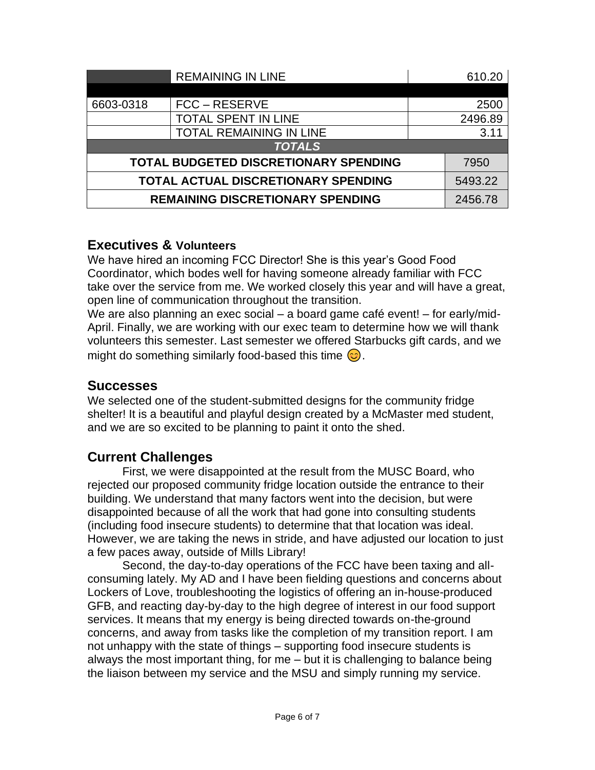|                                            | <b>REMAINING IN LINE</b>                     |         | 610.20  |
|--------------------------------------------|----------------------------------------------|---------|---------|
|                                            |                                              |         |         |
| 6603-0318                                  | FCC – RESERVE                                |         | 2500    |
|                                            | <b>TOTAL SPENT IN LINE</b>                   |         | 2496.89 |
|                                            | <b>TOTAL REMAINING IN LINE</b>               |         | 3.11    |
| <b>TOTALS</b>                              |                                              |         |         |
|                                            | <b>TOTAL BUDGETED DISCRETIONARY SPENDING</b> |         | 7950    |
| <b>TOTAL ACTUAL DISCRETIONARY SPENDING</b> |                                              | 5493.22 |         |
| <b>REMAINING DISCRETIONARY SPENDING</b>    |                                              | 2456.78 |         |

## **Executives & Volunteers**

We have hired an incoming FCC Director! She is this year's Good Food Coordinator, which bodes well for having someone already familiar with FCC take over the service from me. We worked closely this year and will have a great, open line of communication throughout the transition.

We are also planning an exec social – a board game café event! – for early/mid-April. Finally, we are working with our exec team to determine how we will thank volunteers this semester. Last semester we offered Starbucks gift cards, and we might do something similarly food-based this time  $\odot$ .

## **Successes**

We selected one of the student-submitted designs for the community fridge shelter! It is a beautiful and playful design created by a McMaster med student, and we are so excited to be planning to paint it onto the shed.

# **Current Challenges**

First, we were disappointed at the result from the MUSC Board, who rejected our proposed community fridge location outside the entrance to their building. We understand that many factors went into the decision, but were disappointed because of all the work that had gone into consulting students (including food insecure students) to determine that that location was ideal. However, we are taking the news in stride, and have adjusted our location to just a few paces away, outside of Mills Library!

Second, the day-to-day operations of the FCC have been taxing and allconsuming lately. My AD and I have been fielding questions and concerns about Lockers of Love, troubleshooting the logistics of offering an in-house-produced GFB, and reacting day-by-day to the high degree of interest in our food support services. It means that my energy is being directed towards on-the-ground concerns, and away from tasks like the completion of my transition report. I am not unhappy with the state of things – supporting food insecure students is always the most important thing, for me – but it is challenging to balance being the liaison between my service and the MSU and simply running my service.